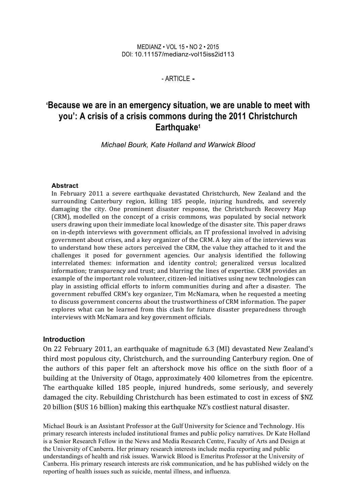#### MEDIANZ • VOL 15 • NO 2 • 2015 DOI: 10.11157/medianz-vol15iss2id113

#### - ARTICLE **-**

# **'Because we are in an emergency situation, we are unable to meet with you': A crisis of a crisis commons during the 2011 Christchurch Earthquake1**

*Michael Bourk, Kate Holland and Warwick Blood*

#### **Abstract**

In February 2011 a severe earthquake devastated Christchurch, New Zealand and the surrounding Canterbury region, killing 185 people, injuring hundreds, and severely damaging the city. One prominent disaster response, the Christchurch Recovery Map (CRM), modelled on the concept of a crisis commons, was populated by social network users drawing upon their immediate local knowledge of the disaster site. This paper draws on in-depth interviews with government officials, an IT professional involved in advising government about crises, and a key organizer of the CRM. A key aim of the interviews was to understand how these actors perceived the CRM, the value they attached to it and the challenges it posed for government agencies. Our analysis identified the following interrelated themes: information and identity control; generalized versus localized information; transparency and trust; and blurring the lines of expertise. CRM provides an example of the important role volunteer, citizen-led initiatives using new technologies can play in assisting official efforts to inform communities during and after a disaster. The government rebuffed CRM's key organizer, Tim McNamara, when he requested a meeting to discuss government concerns about the trustworthiness of CRM information. The paper explores what can be learned from this clash for future disaster preparedness through interviews with McNamara and key government officials.

#### **Introduction**

On 22 February 2011, an earthquake of magnitude 6.3 (Ml) devastated New Zealand's third most populous city, Christchurch, and the surrounding Canterbury region. One of the authors of this paper felt an aftershock move his office on the sixth floor of a building at the University of Otago, approximately 400 kilometres from the epicentre. The earthquake killed 185 people, injured hundreds, some seriously, and severely damaged the city. Rebuilding Christchurch has been estimated to cost in excess of \$NZ 20 billion (\$US 16 billion) making this earthquake NZ's costliest natural disaster.

Michael Bourk is an Assistant Professor at the Gulf University for Science and Technology. His primary research interests included institutional frames and public policy narratives. Dr Kate Holland is a Senior Research Fellow in the News and Media Research Centre, Faculty of Arts and Design at the University of Canberra. Her primary research interests include media reporting and public understandings of health and risk issues. Warwick Blood is Emeritus Professor at the University of Canberra. His primary research interests are risk communication, and he has published widely on the reporting of health issues such as suicide, mental illness, and influenza.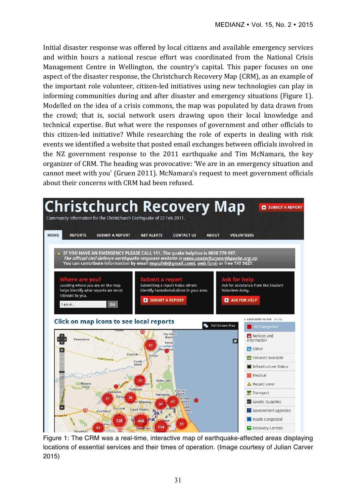Initial disaster response was offered by local citizens and available emergency services and within hours a national rescue effort was coordinated from the National Crisis Management Centre in Wellington, the country's capital. This paper focuses on one aspect of the disaster response, the Christchurch Recovery Map (CRM), as an example of the important role volunteer, citizen-led initiatives using new technologies can play in informing communities during and after disaster and emergency situations (Figure 1). Modelled on the idea of a crisis commons, the map was populated by data drawn from the crowd; that is, social network users drawing upon their local knowledge and technical expertise. But what were the responses of government and other officials to this citizen-led initiative? While researching the role of experts in dealing with risk events we identified a website that posted email exchanges between officials involved in the NZ government response to the  $2011$  earthquake and Tim McNamara, the key organizer of CRM. The heading was provocative: 'We are in an emergency situation and cannot meet with you' (Gruen 2011). McNamara's request to meet government officials about their concerns with CRM had been refused.



Figure 1: The CRM was a real-time, interactive map of earthquake-affected areas displaying locations of essential services and their times of operation. (Image courtesy of Julian Carver 2015)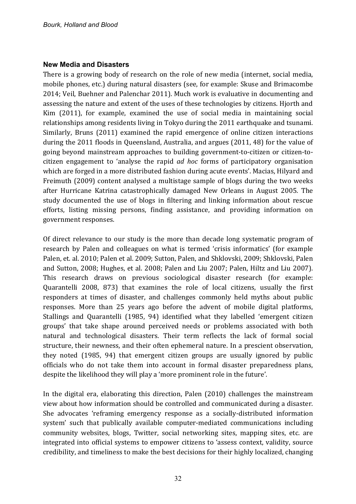### **New Media and Disasters**

There is a growing body of research on the role of new media (internet, social media, mobile phones, etc.) during natural disasters (see, for example: Skuse and Brimacombe 2014; Veil, Buehner and Palenchar 2011). Much work is evaluative in documenting and assessing the nature and extent of the uses of these technologies by citizens. Hjorth and Kim (2011), for example, examined the use of social media in maintaining social relationships among residents living in Tokyo during the 2011 earthquake and tsunami. Similarly, Bruns (2011) examined the rapid emergence of online citizen interactions during the 2011 floods in Queensland, Australia, and argues (2011, 48) for the value of going beyond mainstream approaches to building government-to-citizen or citizen-tocitizen engagement to 'analyse the rapid *ad hoc* forms of participatory organisation which are forged in a more distributed fashion during acute events'. Macias, Hilyard and Freimuth (2009) content analysed a multistage sample of blogs during the two weeks after Hurricane Katrina catastrophically damaged New Orleans in August 2005. The study documented the use of blogs in filtering and linking information about rescue efforts, listing missing persons, finding assistance, and providing information on government responses.

Of direct relevance to our study is the more than decade long systematic program of research by Palen and colleagues on what is termed 'crisis informatics' (for example Palen, et. al. 2010; Palen et al. 2009; Sutton, Palen, and Shklovski, 2009; Shklovski, Palen and Sutton, 2008; Hughes, et al. 2008; Palen and Liu 2007; Palen, Hiltz and Liu 2007). This research draws on previous sociological disaster research (for example: Quarantelli 2008, 873) that examines the role of local citizens, usually the first responders at times of disaster, and challenges commonly held myths about public responses. More than 25 years ago before the advent of mobile digital platforms, Stallings and Quarantelli (1985, 94) identified what they labelled 'emergent citizen groups' that take shape around perceived needs or problems associated with both natural and technological disasters. Their term reflects the lack of formal social structure, their newness, and their often ephemeral nature. In a prescient observation, they noted (1985, 94) that emergent citizen groups are usually ignored by public officials who do not take them into account in formal disaster preparedness plans, despite the likelihood they will play a 'more prominent role in the future'.

In the digital era, elaborating this direction, Palen (2010) challenges the mainstream view about how information should be controlled and communicated during a disaster. She advocates 'reframing emergency response as a socially-distributed information system' such that publically available computer-mediated communications including community websites, blogs, Twitter, social networking sites, mapping sites, etc. are integrated into official systems to empower citizens to 'assess context, validity, source credibility, and timeliness to make the best decisions for their highly localized, changing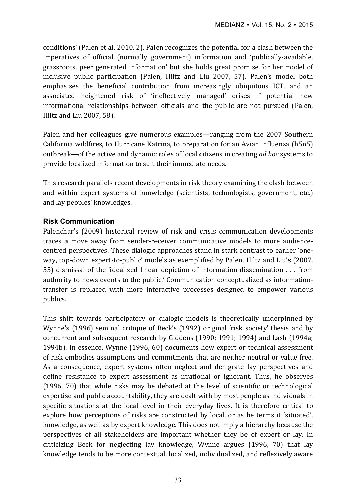conditions' (Palen et al. 2010, 2). Palen recognizes the potential for a clash between the imperatives of official (normally government) information and 'publically-available, grassroots, peer generated information' but she holds great promise for her model of inclusive public participation (Palen, Hiltz and Liu 2007, 57). Palen's model both emphasises the beneficial contribution from increasingly ubiquitous ICT, and an associated heightened risk of 'ineffectively managed' crises if potential new informational relationships between officials and the public are not pursued (Palen, Hiltz and Liu 2007, 58).

Palen and her colleagues give numerous examples—ranging from the 2007 Southern California wildfires, to Hurricane Katrina, to preparation for an Avian influenza (h5n5) outbreak—of the active and dynamic roles of local citizens in creating *ad hoc* systems to provide localized information to suit their immediate needs.

This research parallels recent developments in risk theory examining the clash between and within expert systems of knowledge (scientists, technologists, government, etc.) and lay peoples' knowledges.

## **Risk Communication**

Palenchar's (2009) historical review of risk and crisis communication developments traces a move away from sender-receiver communicative models to more audiencecentred perspectives. These dialogic approaches stand in stark contrast to earlier 'oneway, top-down expert-to-public' models as exemplified by Palen. Hiltz and Liu's (2007, 55) dismissal of the 'idealized linear depiction of information dissemination . . . from authority to news events to the public.' Communication conceptualized as informationtransfer is replaced with more interactive processes designed to empower various publics. 

This shift towards participatory or dialogic models is theoretically underpinned by Wynne's (1996) seminal critique of Beck's (1992) original 'risk society' thesis and by concurrent and subsequent research by Giddens (1990; 1991; 1994) and Lash (1994a; 1994b). In essence, Wynne (1996, 60) documents how expert or technical assessment of risk embodies assumptions and commitments that are neither neutral or value free. As a consequence, expert systems often neglect and denigrate lay perspectives and define resistance to expert assessment as irrational or ignorant. Thus, he observes  $(1996, 70)$  that while risks may be debated at the level of scientific or technological expertise and public accountability, they are dealt with by most people as individuals in specific situations at the local level in their everyday lives. It is therefore critical to explore how perceptions of risks are constructed by local, or as he terms it 'situated', knowledge, as well as by expert knowledge. This does not imply a hierarchy because the perspectives of all stakeholders are important whether they be of expert or lay. In criticizing Beck for neglecting lay knowledge, Wynne argues (1996, 70) that lay knowledge tends to be more contextual, localized, individualized, and reflexively aware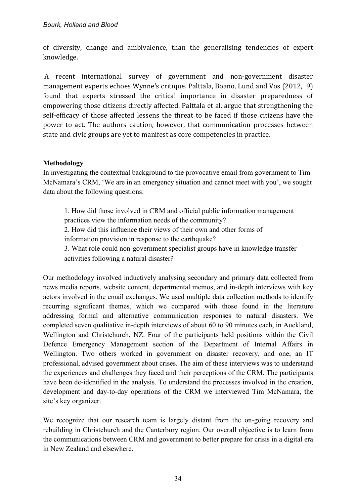of diversity, change and ambivalence, than the generalising tendencies of expert knowledge. 

A recent international survey of government and non-government disaster management experts echoes Wynne's critique. Palttala, Boano, Lund and Vos (2012, 9) found that experts stressed the critical importance in disaster preparedness of empowering those citizens directly affected. Palttala et al. argue that strengthening the self-efficacy of those affected lessens the threat to be faced if those citizens have the power to act. The authors caution, however, that communication processes between state and civic groups are vet to manifest as core competencies in practice.

# **Methodology**

In investigating the contextual background to the provocative email from government to Tim McNamara's CRM, 'We are in an emergency situation and cannot meet with you', we sought data about the following questions:

1. How did those involved in CRM and official public information management practices view the information needs of the community? 2. How did this influence their views of their own and other forms of information provision in response to the earthquake? 3. What role could non-government specialist groups have in knowledge transfer activities following a natural disaster? 

Our methodology involved inductively analysing secondary and primary data collected from news media reports, website content, departmental memos, and in-depth interviews with key actors involved in the email exchanges. We used multiple data collection methods to identify recurring significant themes, which we compared with those found in the literature addressing formal and alternative communication responses to natural disasters. We completed seven qualitative in-depth interviews of about 60 to 90 minutes each, in Auckland, Wellington and Christchurch, NZ. Four of the participants held positions within the Civil Defence Emergency Management section of the Department of Internal Affairs in Wellington. Two others worked in government on disaster recovery, and one, an IT professional, advised government about crises. The aim of these interviews was to understand the experiences and challenges they faced and their perceptions of the CRM. The participants have been de-identified in the analysis. To understand the processes involved in the creation, development and day-to-day operations of the CRM we interviewed Tim McNamara, the site's key organizer.

We recognize that our research team is largely distant from the on-going recovery and rebuilding in Christchurch and the Canterbury region. Our overall objective is to learn from the communications between CRM and government to better prepare for crisis in a digital era in New Zealand and elsewhere.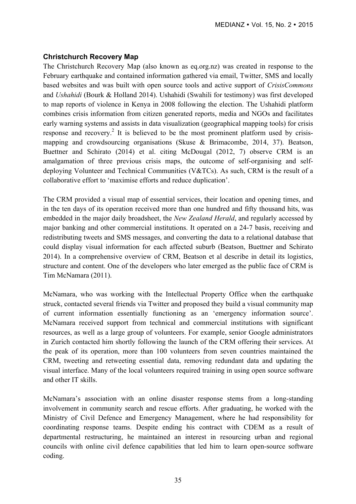#### **Christchurch Recovery Map**

The Christchurch Recovery Map (also known as eq.org.nz) was created in response to the February earthquake and contained information gathered via email, Twitter, SMS and locally based websites and was built with open source tools and active support of *CrisisCommons* and *Ushahidi* (Bourk & Holland 2014). Ushahidi (Swahili for testimony) was first developed to map reports of violence in Kenya in 2008 following the election. The Ushahidi platform combines crisis information from citizen generated reports, media and NGOs and facilitates early warning systems and assists in data visualization (geographical mapping tools) for crisis response and recovery.<sup>2</sup> It is believed to be the most prominent platform used by crisismapping and crowdsourcing organisations (Skuse & Brimacombe, 2014, 37). Beatson, Buettner and Schirato (2014) et al. citing McDougal (2012, 7) observe CRM is an amalgamation of three previous crisis maps, the outcome of self-organising and selfdeploying Volunteer and Technical Communities (V&TCs). As such, CRM is the result of a collaborative effort to 'maximise efforts and reduce duplication'.

The CRM provided a visual map of essential services, their location and opening times, and in the ten days of its operation received more than one hundred and fifty thousand hits, was embedded in the major daily broadsheet, the *New Zealand Herald*, and regularly accessed by major banking and other commercial institutions. It operated on a 24-7 basis, receiving and redistributing tweets and SMS messages, and converting the data to a relational database that could display visual information for each affected suburb (Beatson, Buettner and Schirato 2014). In a comprehensive overview of CRM, Beatson et al describe in detail its logistics, structure and content. One of the developers who later emerged as the public face of CRM is Tim McNamara (2011).

McNamara, who was working with the Intellectual Property Office when the earthquake struck, contacted several friends via Twitter and proposed they build a visual community map of current information essentially functioning as an 'emergency information source'. McNamara received support from technical and commercial institutions with significant resources, as well as a large group of volunteers. For example, senior Google administrators in Zurich contacted him shortly following the launch of the CRM offering their services. At the peak of its operation, more than 100 volunteers from seven countries maintained the CRM, tweeting and retweeting essential data, removing redundant data and updating the visual interface. Many of the local volunteers required training in using open source software and other IT skills.

McNamara's association with an online disaster response stems from a long-standing involvement in community search and rescue efforts. After graduating, he worked with the Ministry of Civil Defence and Emergency Management, where he had responsibility for coordinating response teams. Despite ending his contract with CDEM as a result of departmental restructuring, he maintained an interest in resourcing urban and regional councils with online civil defence capabilities that led him to learn open-source software coding.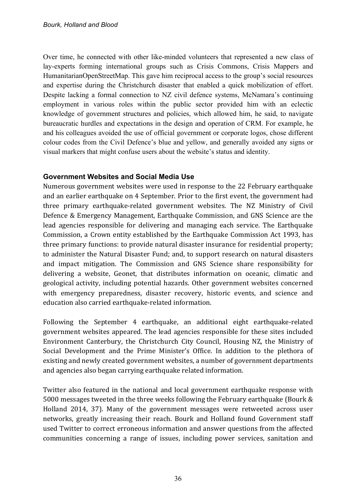Over time, he connected with other like-minded volunteers that represented a new class of lay-experts forming international groups such as Crisis Commons, Crisis Mappers and HumanitarianOpenStreetMap. This gave him reciprocal access to the group's social resources and expertise during the Christchurch disaster that enabled a quick mobilization of effort. Despite lacking a formal connection to NZ civil defence systems, McNamara's continuing employment in various roles within the public sector provided him with an eclectic knowledge of government structures and policies, which allowed him, he said, to navigate bureaucratic hurdles and expectations in the design and operation of CRM. For example, he and his colleagues avoided the use of official government or corporate logos, chose different colour codes from the Civil Defence's blue and yellow, and generally avoided any signs or visual markers that might confuse users about the website's status and identity.

# **Government Websites and Social Media Use**

Numerous government websites were used in response to the 22 February earthquake and an earlier earthquake on 4 September. Prior to the first event, the government had three primary earthquake-related government websites. The NZ Ministry of Civil Defence & Emergency Management, Earthquake Commission, and GNS Science are the lead agencies responsible for delivering and managing each service. The Earthquake Commission, a Crown entity established by the Earthquake Commission Act 1993, has three primary functions: to provide natural disaster insurance for residential property; to administer the Natural Disaster Fund; and, to support research on natural disasters and impact mitigation. The Commission and GNS Science share responsibility for delivering a website, Geonet, that distributes information on oceanic, climatic and geological activity, including potential hazards. Other government websites concerned with emergency preparedness, disaster recovery, historic events, and science and education also carried earthquake-related information.

Following the September 4 earthquake, an additional eight earthquake-related government websites appeared. The lead agencies responsible for these sites included Environment Canterbury, the Christchurch City Council, Housing NZ, the Ministry of Social Development and the Prime Minister's Office. In addition to the plethora of existing and newly created government websites, a number of government departments and agencies also began carrying earthquake related information.

Twitter also featured in the national and local government earthquake response with 5000 messages tweeted in the three weeks following the February earthquake (Bourk  $&$ Holland 2014, 37). Many of the government messages were retweeted across user networks, greatly increasing their reach. Bourk and Holland found Government staff used Twitter to correct erroneous information and answer questions from the affected communities concerning a range of issues, including power services, sanitation and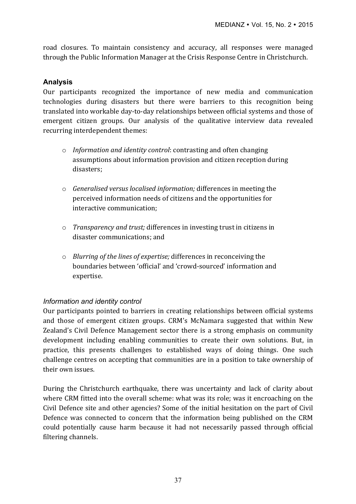road closures. To maintain consistency and accuracy, all responses were managed through the Public Information Manager at the Crisis Response Centre in Christchurch.

### **Analysis**

Our participants recognized the importance of new media and communication technologies during disasters but there were barriers to this recognition being translated into workable day-to-day relationships between official systems and those of emergent citizen groups. Our analysis of the qualitative interview data revealed recurring interdependent themes:

- o *Information and identity control*: contrasting and often changing assumptions about information provision and citizen reception during disasters;
- o *Generalised versus localised information;* differences in meeting the perceived information needs of citizens and the opportunities for interactive communication:
- o *Transparency and trust;* differences in investing trust in citizens in disaster communications; and
- $\circ$  *Blurring of the lines of expertise;* differences in reconceiving the boundaries between 'official' and 'crowd-sourced' information and expertise.

# *Information and identity control*

Our participants pointed to barriers in creating relationships between official systems and those of emergent citizen groups. CRM's McNamara suggested that within New Zealand's Civil Defence Management sector there is a strong emphasis on community development including enabling communities to create their own solutions. But, in practice, this presents challenges to established ways of doing things. One such challenge centres on accepting that communities are in a position to take ownership of their own issues.

During the Christchurch earthquake, there was uncertainty and lack of clarity about where CRM fitted into the overall scheme: what was its role; was it encroaching on the Civil Defence site and other agencies? Some of the initial hesitation on the part of Civil Defence was connected to concern that the information being published on the CRM could potentially cause harm because it had not necessarily passed through official filtering channels.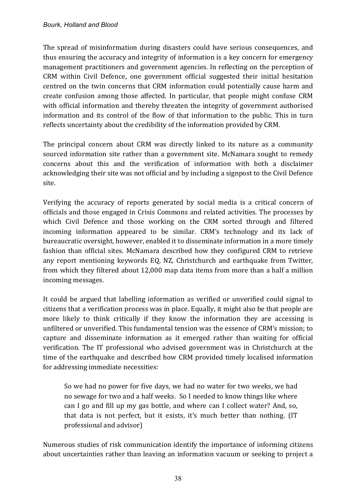The spread of misinformation during disasters could have serious consequences, and thus ensuring the accuracy and integrity of information is a key concern for emergency management practitioners and government agencies. In reflecting on the perception of CRM within Civil Defence, one government official suggested their initial hesitation centred on the twin concerns that CRM information could potentially cause harm and create confusion among those affected. In particular, that people might confuse CRM with official information and thereby threaten the integrity of government authorised information and its control of the flow of that information to the public. This in turn reflects uncertainty about the credibility of the information provided by CRM.

The principal concern about CRM was directly linked to its nature as a community sourced information site rather than a government site. McNamara sought to remedy concerns about this and the verification of information with both a disclaimer acknowledging their site was not official and by including a signpost to the Civil Defence site.

Verifying the accuracy of reports generated by social media is a critical concern of officials and those engaged in Crisis Commons and related activities. The processes by which Civil Defence and those working on the CRM sorted through and filtered incoming information appeared to be similar. CRM's technology and its lack of bureaucratic oversight, however, enabled it to disseminate information in a more timely fashion than official sites. McNamara described how they configured CRM to retrieve any report mentioning keywords EQ, NZ, Christchurch and earthquake from Twitter, from which they filtered about 12,000 map data items from more than a half a million incoming messages.

It could be argued that labelling information as verified or unverified could signal to citizens that a verification process was in place. Equally, it might also be that people are more likely to think critically if they know the information they are accessing is unfiltered or unverified. This fundamental tension was the essence of CRM's mission; to capture and disseminate information as it emerged rather than waiting for official verification. The IT professional who advised government was in Christchurch at the time of the earthquake and described how CRM provided timely localised information for addressing immediate necessities:

So we had no power for five days, we had no water for two weeks, we had no sewage for two and a half weeks. So I needed to know things like where can I go and fill up my gas bottle, and where can I collect water? And, so, that data is not perfect, but it exists, it's much better than nothing. (IT professional and advisor)

Numerous studies of risk communication identify the importance of informing citizens about uncertainties rather than leaving an information vacuum or seeking to project a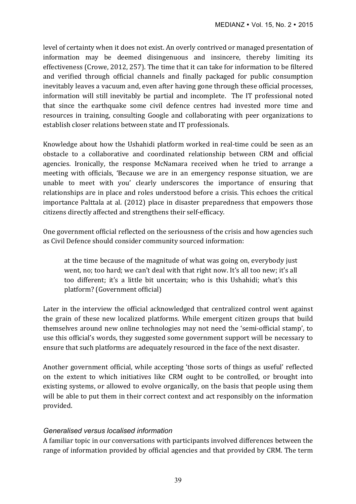level of certainty when it does not exist. An overly contrived or managed presentation of information may be deemed disingenuous and insincere, thereby limiting its effectiveness (Crowe, 2012, 257). The time that it can take for information to be filtered and verified through official channels and finally packaged for public consumption inevitably leaves a vacuum and, even after having gone through these official processes, information will still inevitably be partial and incomplete. The IT professional noted that since the earthquake some civil defence centres had invested more time and resources in training, consulting Google and collaborating with peer organizations to establish closer relations between state and IT professionals.

Knowledge about how the Ushahidi platform worked in real-time could be seen as an obstacle to a collaborative and coordinated relationship between CRM and official agencies. Ironically, the response McNamara received when he tried to arrange a meeting with officials, 'Because we are in an emergency response situation, we are unable to meet with you' clearly underscores the importance of ensuring that relationships are in place and roles understood before a crisis. This echoes the critical importance Palttala at al. (2012) place in disaster preparedness that empowers those citizens directly affected and strengthens their self-efficacy.

One government official reflected on the seriousness of the crisis and how agencies such as Civil Defence should consider community sourced information:

at the time because of the magnitude of what was going on, everybody just went, no; too hard; we can't deal with that right now. It's all too new; it's all too different; it's a little bit uncertain; who is this Ushahidi; what's this platform? (Government official)

Later in the interview the official acknowledged that centralized control went against the grain of these new localized platforms. While emergent citizen groups that build themselves around new online technologies may not need the 'semi-official stamp', to use this official's words, they suggested some government support will be necessary to ensure that such platforms are adequately resourced in the face of the next disaster.

Another government official, while accepting 'those sorts of things as useful' reflected on the extent to which initiatives like CRM ought to be controlled, or brought into existing systems, or allowed to evolve organically, on the basis that people using them will be able to put them in their correct context and act responsibly on the information provided.

# *Generalised versus localised information*

A familiar topic in our conversations with participants involved differences between the range of information provided by official agencies and that provided by CRM. The term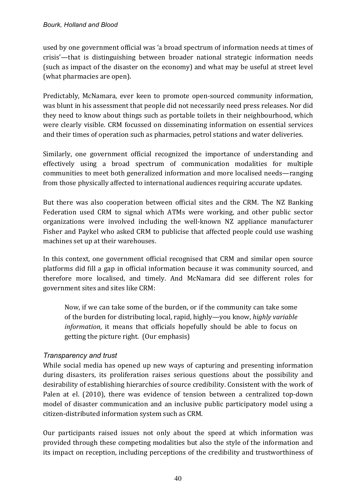used by one government official was 'a broad spectrum of information needs at times of crisis'—that is distinguishing between broader national strategic information needs (such as impact of the disaster on the economy) and what may be useful at street level (what pharmacies are open).

Predictably, McNamara, ever keen to promote open-sourced community information, was blunt in his assessment that people did not necessarily need press releases. Nor did they need to know about things such as portable toilets in their neighbourhood, which were clearly visible. CRM focussed on disseminating information on essential services and their times of operation such as pharmacies, petrol stations and water deliveries.

Similarly, one government official recognized the importance of understanding and effectively using a broad spectrum of communication modalities for multiple communities to meet both generalized information and more localised needs—ranging from those physically affected to international audiences requiring accurate updates.

But there was also cooperation between official sites and the CRM. The NZ Banking Federation used CRM to signal which ATMs were working, and other public sector organizations were involved including the well-known NZ appliance manufacturer Fisher and Paykel who asked CRM to publicise that affected people could use washing machines set up at their warehouses.

In this context, one government official recognised that CRM and similar open source platforms did fill a gap in official information because it was community sourced, and therefore more localised, and timely. And McNamara did see different roles for government sites and sites like CRM:

Now, if we can take some of the burden, or if the community can take some of the burden for distributing local, rapid, highly—you know, *highly variable information*, it means that officials hopefully should be able to focus on getting the picture right. (Our emphasis)

# *Transparency and trust*

While social media has opened up new ways of capturing and presenting information during disasters, its proliferation raises serious questions about the possibility and desirability of establishing hierarchies of source credibility. Consistent with the work of Palen at el. (2010), there was evidence of tension between a centralized top-down model of disaster communication and an inclusive public participatory model using a citizen-distributed information system such as CRM.

Our participants raised issues not only about the speed at which information was provided through these competing modalities but also the style of the information and its impact on reception, including perceptions of the credibility and trustworthiness of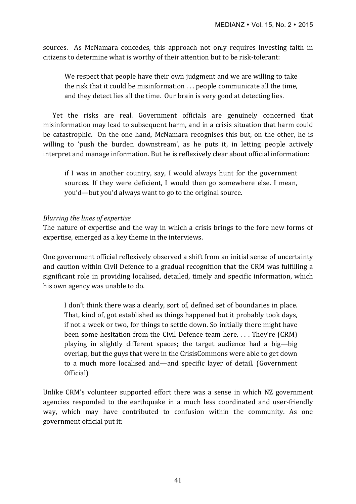sources. As McNamara concedes, this approach not only requires investing faith in citizens to determine what is worthy of their attention but to be risk-tolerant:

We respect that people have their own judgment and we are willing to take the risk that it could be misinformation  $\ldots$  people communicate all the time, and they detect lies all the time. Our brain is very good at detecting lies.

Yet the risks are real. Government officials are genuinely concerned that misinformation may lead to subsequent harm, and in a crisis situation that harm could be catastrophic. On the one hand, McNamara recognises this but, on the other, he is willing to 'push the burden downstream', as he puts it, in letting people actively interpret and manage information. But he is reflexively clear about official information:

if I was in another country, say, I would always hunt for the government sources. If they were deficient, I would then go somewhere else. I mean, you'd—but you'd always want to go to the original source.

## *Blurring the lines of expertise*

The nature of expertise and the way in which a crisis brings to the fore new forms of expertise, emerged as a key theme in the interviews.

One government official reflexively observed a shift from an initial sense of uncertainty and caution within Civil Defence to a gradual recognition that the CRM was fulfilling a significant role in providing localised, detailed, timely and specific information, which his own agency was unable to do.

I don't think there was a clearly, sort of, defined set of boundaries in place. That, kind of, got established as things happened but it probably took days, if not a week or two, for things to settle down. So initially there might have been some hesitation from the Civil Defence team here. . . . They're (CRM) playing in slightly different spaces; the target audience had a big—big overlap, but the guys that were in the CrisisCommons were able to get down to a much more localised and—and specific layer of detail. (Government Official)

Unlike CRM's volunteer supported effort there was a sense in which NZ government agencies responded to the earthquake in a much less coordinated and user-friendly way, which may have contributed to confusion within the community. As one government official put it: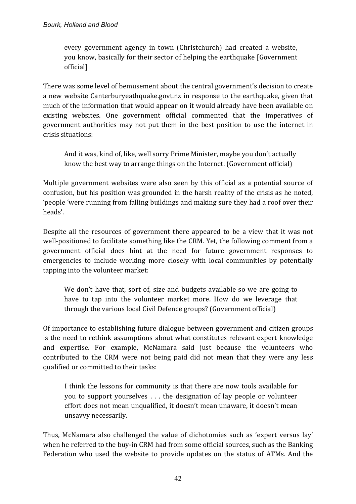every government agency in town (Christchurch) had created a website, you know, basically for their sector of helping the earthquake [Government] official]

There was some level of bemusement about the central government's decision to create a new website Canterburyeathquake.govt.nz in response to the earthquake, given that much of the information that would appear on it would already have been available on existing websites. One government official commented that the imperatives of government authorities may not put them in the best position to use the internet in crisis situations:

And it was, kind of, like, well sorry Prime Minister, maybe you don't actually know the best way to arrange things on the Internet. (Government official)

Multiple government websites were also seen by this official as a potential source of confusion, but his position was grounded in the harsh reality of the crisis as he noted, 'people 'were running from falling buildings and making sure they had a roof over their heads'.

Despite all the resources of government there appeared to be a view that it was not well-positioned to facilitate something like the CRM. Yet, the following comment from a government official does hint at the need for future government responses to emergencies to include working more closely with local communities by potentially tapping into the volunteer market:

We don't have that, sort of, size and budgets available so we are going to have to tap into the volunteer market more. How do we leverage that through the various local Civil Defence groups? (Government official)

Of importance to establishing future dialogue between government and citizen groups is the need to rethink assumptions about what constitutes relevant expert knowledge and expertise. For example, McNamara said just because the volunteers who contributed to the CRM were not being paid did not mean that they were any less qualified or committed to their tasks:

I think the lessons for community is that there are now tools available for you to support vourselves  $\dots$  the designation of lay people or volunteer effort does not mean unqualified, it doesn't mean unaware, it doesn't mean unsavvy necessarily.

Thus, McNamara also challenged the value of dichotomies such as 'expert versus lay' when he referred to the buy-in CRM had from some official sources, such as the Banking Federation who used the website to provide updates on the status of ATMs. And the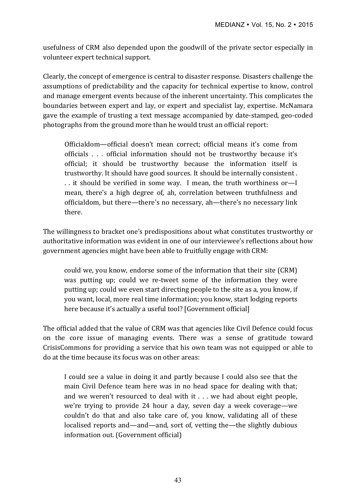usefulness of CRM also depended upon the goodwill of the private sector especially in volunteer expert technical support.

Clearly, the concept of emergence is central to disaster response. Disasters challenge the assumptions of predictability and the capacity for technical expertise to know, control and manage emergent events because of the inherent uncertainty. This complicates the boundaries between expert and lay, or expert and specialist lay, expertise. McNamara gave the example of trusting a text message accompanied by date-stamped, geo-coded photographs from the ground more than he would trust an official report:

Officialdom—official doesn't mean correct; official means it's come from officials . . . official information should not be trustworthy because it's official; it should be trustworthy because the information itself is trustworthy. It should have good sources. It should be internally consistent. .. it should be verified in some way. I mean, the truth worthiness or—I mean, there's a high degree of, ah, correlation between truthfulness and officialdom, but there—there's no necessary, ah—there's no necessary link there. 

The willingness to bracket one's predispositions about what constitutes trustworthy or authoritative information was evident in one of our interviewee's reflections about how government agencies might have been able to fruitfully engage with CRM:

could we, you know, endorse some of the information that their site (CRM) was putting up; could we re-tweet some of the information they were putting up; could we even start directing people to the site as a, you know, if you want, local, more real time information; you know, start lodging reports here because it's actually a useful tool? [Government official]

The official added that the value of CRM was that agencies like Civil Defence could focus on the core issue of managing events. There was a sense of gratitude toward CrisisCommons for providing a service that his own team was not equipped or able to do at the time because its focus was on other areas:

I could see a value in doing it and partly because I could also see that the main Civil Defence team here was in no head space for dealing with that; and we weren't resourced to deal with it  $\ldots$  we had about eight people, we're trying to provide 24 hour a day, seven day a week coverage—we couldn't do that and also take care of, you know, validating all of these localised reports and—and—and, sort of, vetting the—the slightly dubious information out. (Government official)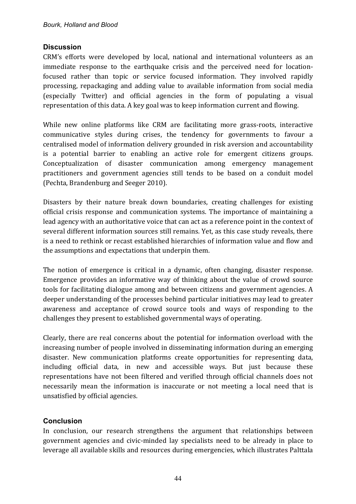## **Discussion**

CRM's efforts were developed by local, national and international volunteers as an immediate response to the earthquake crisis and the perceived need for locationfocused rather than topic or service focused information. They involved rapidly processing, repackaging and adding value to available information from social media (especially Twitter) and official agencies in the form of populating a visual representation of this data. A key goal was to keep information current and flowing.

While new online platforms like CRM are facilitating more grass-roots, interactive communicative styles during crises, the tendency for governments to favour a centralised model of information delivery grounded in risk aversion and accountability is a potential barrier to enabling an active role for emergent citizens groups. Conceptualization of disaster communication among emergency management practitioners and government agencies still tends to be based on a conduit model (Pechta, Brandenburg and Seeger 2010).

Disasters by their nature break down boundaries, creating challenges for existing official crisis response and communication systems. The importance of maintaining a lead agency with an authoritative voice that can act as a reference point in the context of several different information sources still remains. Yet, as this case study reveals, there is a need to rethink or recast established hierarchies of information value and flow and the assumptions and expectations that underpin them.

The notion of emergence is critical in a dynamic, often changing, disaster response. Emergence provides an informative way of thinking about the value of crowd source tools for facilitating dialogue among and between citizens and government agencies. A deeper understanding of the processes behind particular initiatives may lead to greater awareness and acceptance of crowd source tools and ways of responding to the challenges they present to established governmental ways of operating.

Clearly, there are real concerns about the potential for information overload with the increasing number of people involved in disseminating information during an emerging disaster. New communication platforms create opportunities for representing data, including official data, in new and accessible ways. But just because these representations have not been filtered and verified through official channels does not necessarily mean the information is inaccurate or not meeting a local need that is unsatisfied by official agencies.

# **Conclusion**

In conclusion, our research strengthens the argument that relationships between government agencies and civic-minded lay specialists need to be already in place to leverage all available skills and resources during emergencies, which illustrates Palttala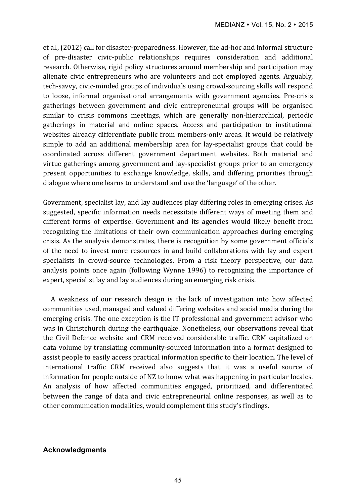et al., (2012) call for disaster-preparedness. However, the ad-hoc and informal structure of pre-disaster civic-public relationships requires consideration and additional research. Otherwise, rigid policy structures around membership and participation may alienate civic entrepreneurs who are volunteers and not employed agents. Arguably, tech-savvy, civic-minded groups of individuals using crowd-sourcing skills will respond to loose, informal organisational arrangements with government agencies. Pre-crisis gatherings between government and civic entrepreneurial groups will be organised similar to crisis commons meetings, which are generally non-hierarchical, periodic gatherings in material and online spaces. Access and participation to institutional websites already differentiate public from members-only areas. It would be relatively simple to add an additional membership area for lay-specialist groups that could be coordinated across different government department websites. Both material and virtue gatherings among government and lay-specialist groups prior to an emergency present opportunities to exchange knowledge, skills, and differing priorities through dialogue where one learns to understand and use the 'language' of the other.

Government, specialist lay, and lay audiences play differing roles in emerging crises. As suggested, specific information needs necessitate different ways of meeting them and different forms of expertise. Government and its agencies would likely benefit from recognizing the limitations of their own communication approaches during emerging crisis. As the analysis demonstrates, there is recognition by some government officials of the need to invest more resources in and build collaborations with lay and expert specialists in crowd-source technologies. From a risk theory perspective, our data analysis points once again (following Wynne 1996) to recognizing the importance of expert, specialist lay and lay audiences during an emerging risk crisis.

A weakness of our research design is the lack of investigation into how affected communities used, managed and valued differing websites and social media during the emerging crisis. The one exception is the IT professional and government advisor who was in Christchurch during the earthquake. Nonetheless, our observations reveal that the Civil Defence website and CRM received considerable traffic. CRM capitalized on data volume by translating community-sourced information into a format designed to assist people to easily access practical information specific to their location. The level of international traffic CRM received also suggests that it was a useful source of information for people outside of NZ to know what was happening in particular locales. An analysis of how affected communities engaged, prioritized, and differentiated between the range of data and civic entrepreneurial online responses, as well as to other communication modalities, would complement this study's findings.

#### **Acknowledgments**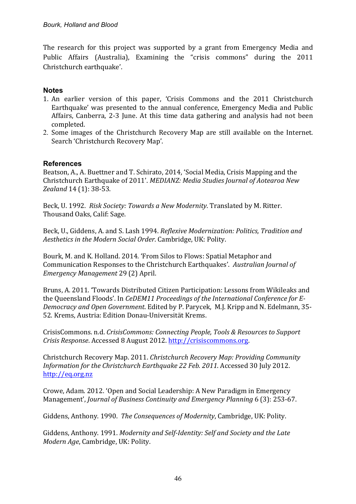The research for this project was supported by a grant from Emergency Media and Public Affairs (Australia), Examining the "crisis commons" during the 2011 Christchurch earthquake'.

# **Notes**

- 1. An earlier version of this paper, 'Crisis Commons and the 2011 Christchurch Earthquake' was presented to the annual conference, Emergency Media and Public Affairs, Canberra, 2-3 June. At this time data gathering and analysis had not been completed.
- 2. Some images of the Christchurch Recovery Map are still available on the Internet. Search 'Christchurch Recovery Map'.

# **References**

Beatson, A., A. Buettner and T. Schirato, 2014, 'Social Media, Crisis Mapping and the Christchurch Earthquake of 2011'. *MEDIANZ: Media Studies Journal of Aotearoa New Zealand* 14 (1): 38-53.

Beck, U. 1992. Risk Society: Towards a New Modernity. Translated by M. Ritter. Thousand Oaks, Calif: Sage.

Beck, U., Giddens, A. and S. Lash 1994. *Reflexive Modernization: Politics, Tradition and Aesthetics in the Modern Social Order.* Cambridge, UK: Polity.

Bourk, M. and K. Holland. 2014. 'From Silos to Flows: Spatial Metaphor and Communication Responses to the Christchurch Earthquakes'. Australian Journal of *Emergency Management* 29 (2) April.

Bruns, A. 2011. 'Towards Distributed Citizen Participation: Lessons from Wikileaks and the Oueensland Floods'. In *CeDEM11 Proceedings of the International Conference for E-Democracy and Open Government*. Edited by P. Parycek, M.J. Kripp and N. Edelmann, 35-52. Krems, Austria: Edition Donau-Universität Krems.

CrisisCommons. n.d. *CrisisCommons: Connecting People, Tools & Resources to Support Crisis Response*. Accessed 8 August 2012. http://crisiscommons.org.

Christchurch Recovery Map. 2011. *Christchurch Recovery Map: Providing Community Information for the Christchurch Earthquake 22 Feb. 2011.* Accessed 30 July 2012. http://eq.org.nz

Crowe, Adam. 2012. 'Open and Social Leadership: A New Paradigm in Emergency Management', *Journal of Business Continuity and Emergency Planning* 6 (3): 253-67.

Giddens, Anthony. 1990. The Consequences of Modernity, Cambridge, UK: Polity.

Giddens, Anthony. 1991. Modernity and Self-Identity: Self and Society and the Late *Modern Age*, Cambridge, UK: Polity.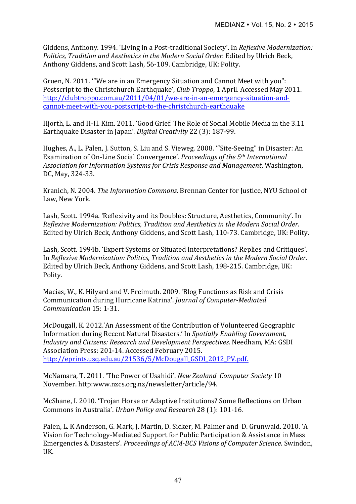Giddens, Anthony. 1994. 'Living in a Post-traditional Society'. In *Reflexive Modernization: Politics, Tradition and Aesthetics in the Modern Social Order.* Edited by Ulrich Beck, Anthony Giddens, and Scott Lash, 56-109. Cambridge, UK: Polity.

Gruen, N. 2011. "We are in an Emergency Situation and Cannot Meet with you": Postscript to the Christchurch Earthquake', *Club Troppo*, 1 April. Accessed May 2011. http://clubtroppo.com.au/2011/04/01/we-are-in-an-emergency-situation-andcannot-meet-with-you-postscript-to-the-christchurch-earthquake

Hjorth, L. and H-H. Kim. 2011. 'Good Grief: The Role of Social Mobile Media in the 3.11 Earthquake Disaster in Japan'. *Digital Creativity* 22 (3): 187-99.

Hughes, A., L. Palen, J. Sutton, S. Liu and S. Vieweg. 2008. "Site-Seeing" in Disaster: An Examination of On-Line Social Convergence'. *Proceedings of the 5<sup>th</sup> International* Association for Information Systems for Crisis Response and Management, Washington, DC, May, 324-33.

Kranich, N. 2004. *The Information Commons*. Brennan Center for Justice, NYU School of Law, New York.

Lash, Scott. 1994a. 'Reflexivity and its Doubles: Structure, Aesthetics, Community'. In *Reflexive Modernization: Politics, Tradition and Aesthetics in the Modern Social Order.* Edited by Ulrich Beck, Anthony Giddens, and Scott Lash, 110-73. Cambridge, UK: Polity.

Lash, Scott. 1994b. 'Expert Systems or Situated Interpretations? Replies and Critiques'. In *Reflexive Modernization: Politics, Tradition and Aesthetics in the Modern Social Order.* Edited by Ulrich Beck, Anthony Giddens, and Scott Lash, 198-215. Cambridge, UK: Polity.

Macias, W., K. Hilyard and V. Freimuth. 2009. 'Blog Functions as Risk and Crisis Communication during Hurricane Katrina'. *Journal of Computer-Mediated Communication* 15: 1-31.

McDougall, K. 2012.'An Assessment of the Contribution of Volunteered Geographic Information during Recent Natural Disasters.' In *Spatially Enabling Government, Industry and Citizens: Research and Development Perspectives*. Needham, MA: GSDI Association Press: 201-14. Accessed February 2015. http://eprints.usq.edu.au/21536/5/McDougall\_GSDI\_2012\_PV.pdf.

McNamara, T. 2011. 'The Power of Usahidi'. *New Zealand Computer Society* 10 November. http:www.nzcs.org.nz/newsletter/article/94.

McShane, I. 2010. 'Trojan Horse or Adaptive Institutions? Some Reflections on Urban Commons in Australia'. *Urban Policy and Research* 28 (1): 101-16.

Palen, L. K Anderson, G. Mark, J. Martin, D. Sicker, M. Palmer and D. Grunwald. 2010. 'A Vision for Technology-Mediated Support for Public Participation & Assistance in Mass Emergencies & Disasters'. *Proceedings of ACM-BCS Visions of Computer Science*. Swindon, UK.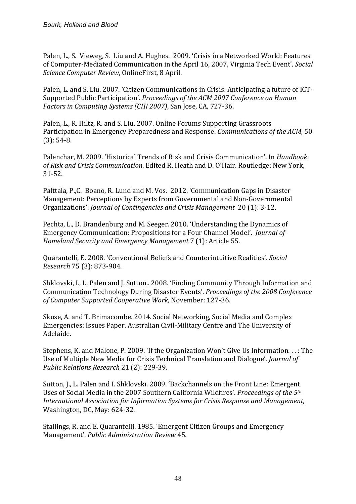Palen, L., S. Vieweg, S. Liu and A. Hughes. 2009. 'Crisis in a Networked World: Features of Computer-Mediated Communication in the April 16, 2007, Virginia Tech Event'. *Social Science Computer Review*, OnlineFirst, 8 April.

Palen, L. and S. Liu. 2007. 'Citizen Communications in Crisis: Anticipating a future of ICT-Supported Public Participation'. *Proceedings of the ACM 2007 Conference on Human Factors in Computing Systems (CHI 2007)*, San Jose, CA, 727-36.

Palen, L., R. Hiltz, R. and S. Liu. 2007. Online Forums Supporting Grassroots Participation in Emergency Preparedness and Response. *Communications of the ACM*, 50  $(3): 54-8.$ 

Palenchar, M. 2009. 'Historical Trends of Risk and Crisis Communication'. In *Handbook* of Risk and Crisis Communication. Edited R. Heath and D. O'Hair. Routledge: New York, 31-52.

Palttala, P.,C. Boano, R. Lund and M. Vos. 2012. 'Communication Gaps in Disaster Management: Perceptions by Experts from Governmental and Non-Governmental Organizations'. *Journal of Contingencies and Crisis Management* 20 (1): 3-12.

Pechta, L., D. Brandenburg and M. Seeger. 2010. 'Understanding the Dynamics of Emergency Communication: Propositions for a Four Channel Model'. *Journal of Homeland Security and Emergency Management* 7 (1): Article 55.

Quarantelli, E. 2008. 'Conventional Beliefs and Counterintuitive Realities'. *Social Research* 75 (3): 873-904.

Shklovski, I., L. Palen and J. Sutton.. 2008. 'Finding Community Through Information and Communication Technology During Disaster Events'. *Proceedings of the 2008 Conference of Computer Supported Cooperative Work*, November: 127-36.

Skuse, A. and T. Brimacombe. 2014. Social Networking, Social Media and Complex Emergencies: Issues Paper. Australian Civil-Military Centre and The University of Adelaide.

Stephens, K. and Malone, P. 2009. 'If the Organization Won't Give Us Information.  $\ldots$ : The Use of Multiple New Media for Crisis Technical Translation and Dialogue'. *Journal of Public Relations Research* 21 (2): 229-39.

Sutton, I., L. Palen and I. Shklovski. 2009. 'Backchannels on the Front Line: Emergent Uses of Social Media in the 2007 Southern California Wildfires'. *Proceedings of the* 5<sup>th</sup> *International Association for Information Systems for Crisis Response and Management,* Washington, DC, May: 624-32.

Stallings, R. and E. Quarantelli. 1985. 'Emergent Citizen Groups and Emergency Management'. *Public Administration Review* 45.